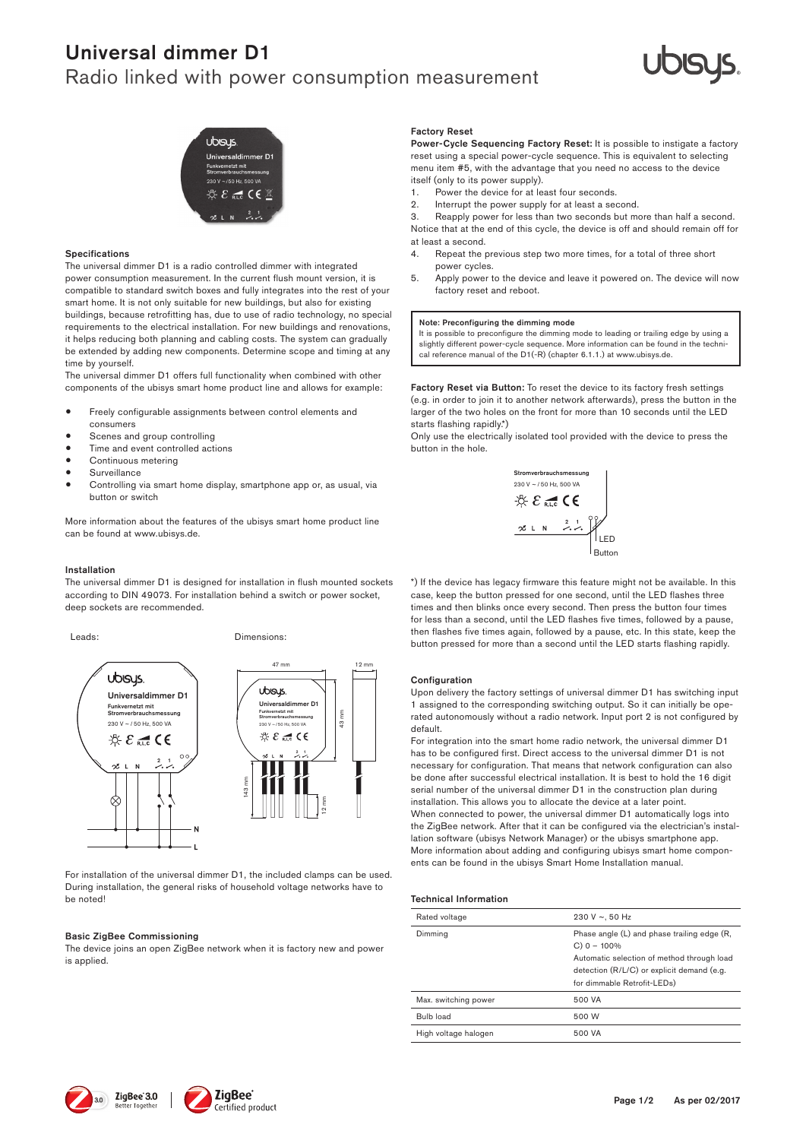# Universal dimmer D1

## Radio linked with power consumption measurement





### Specifications

The universal dimmer D1 is a radio controlled dimmer with integrated power consumption measurement. In the current flush mount version, it is compatible to standard switch boxes and fully integrates into the rest of your smart home. It is not only suitable for new buildings, but also for existing buildings, because retrofitting has, due to use of radio technology, no special requirements to the electrical installation. For new buildings and renovations, it helps reducing both planning and cabling costs. The system can gradually be extended by adding new components. Determine scope and timing at any time by yourself.

The universal dimmer D1 offers full functionality when combined with other components of the ubisys smart home product line and allows for example:

- Freely configurable assignments between control elements and
- consumers
- Scenes and group controlling Time and event controlled actions
- Continuous metering
- • Surveillance
- 
- . Controlling via smart home display, smartphone app or, as usual, via button or switch

More information about the features of the ubisys smart home product line can be found at www.ubisys.de.

### Installation

The universal dimmer D1 is designed for installation in flush mounted sockets according to DIN 49073. For installation behind a switch or power socket, deep sockets are recommended.

Leads: Dimensions:



For installation of the universal dimmer D1, the included clamps can be used. During installation, the general risks of household voltage networks have to be noted!

### **Basic ZigBee Commissioning**

<u>Basic Eigbee Commissioning</u><br>The device joins an open ZigBee network when it is factory new and power is applied.

#### Factory Reset

Power-Cycle Sequencing Factory Reset: It is possible to instigate a factory reset using a special power-cycle sequence. This is equivalent to selecting menu item #5, with the advantage that you need no access to the device itself (only to its power supply).

- 1. Power the device for at least four seconds.<br>2. Interrupt the nower supply for at least a sec
- 2. Interrupt the power supply for at least a second.<br>3. Reapply power for less than two seconds but m

Reapply power for less than two seconds but more than half a second. Notice that at the end of this cycle, the device is off and should remain off for at least a second.

- 4. Repeat the previous step two more times, for a total of three short power cycles.
- 5. Apply power to the device and leave it powered on. The device will now factory reset and reboot.

### Note: Preconfiguring the dimming mode

It is possible to preconfigure the dimming mode to leading or trailing edge by using a slightly different power-cycle sequence. More information can be found in the techni-cal reference manual of the D1(-R) (chapter 6.1.1.) at www.ubisys.de.

Factory Reset via Button: To reset the device to its factory fresh settings (e.g. in order to join it to another network afterwards), press the button in the larger of the two holes on the front for more than 10 seconds until the LED starts flashing rapidly.\*)

Only use the electrically isolated tool provided with the device to press the button in the hole.  $J$ alion $n$ 



\*) If the device has legacy firmware this feature might not be available. In this case, keep the button pressed for one second, until the LED flashes three times and then blinks once every second. Then press the button four times for less than a second, until the LED flashes five times, followed by a pause, then flashes five times again, followed by a pause, etc. In this state, keep the button pressed for more than a second until the LED starts flashing rapidly.

### Configuration

Funkvernetzt mit rated autonomously without a radio network. Input port 2 is not configured by Upon delivery the factory settings of universal dimmer D1 has switching input default. For example, the carry serings of anticode annual strategy inputs a structure of the corresponding switching output. So it can initially be ope-

necessary for configuration. That means that network configuration can also  $2 \times 1$  | | has to be configured first. Direct access to the universal dimmer D1 is not installation. This allows you to allocate the device at a later point.<br>When connected to noves the universal dimmer D1 automotically be done after successful electrical installation. It is best to hold the 16 d serial number of the universal dimmer D1 in the construction plan during  $\frac{1}{2}$  mm  $\frac{1}{2}$  mm  $\frac{1}{2}$  mm  $\frac{1}{2}$  mm  $\frac{1}{2}$  mm  $\frac{1}{2}$  mm  $\frac{1}{2}$  mm  $\frac{1}{2}$  mm  $\frac{1}{2}$  mm  $\frac{1}{2}$  mm  $\frac{1}{2}$  mm  $\frac{1}{2}$  mm  $\frac{1}{2}$  mm  $\frac{1}{2}$  mm  $\frac{1}{2}$  mm  $\frac{1}{2}$  mm  $\frac{1}{2}$  mm For integration into the smart home radio network, the universal dimmer D1 be done after successful electrical installation. It is best to hold the 16 digit When connected to power, the universal dimmer D1 automatically logs into the ZigBee network. After that it can be configured via the electrician's installation software (ubisys Network Manager) or the ubisys smartphone app. More information about adding and configuring ubisys smart home components can be found in the ubisys Smart Home Installation manual.

### Technical Information

| wer |                      |                                                                                                                         |  |
|-----|----------------------|-------------------------------------------------------------------------------------------------------------------------|--|
|     | Rated voltage        | 230 V $\sim$ , 50 Hz                                                                                                    |  |
|     | Dimming              | Phase angle (L) and phase trailing edge (R,<br>$C$ ) 0 - 100%                                                           |  |
|     |                      | Automatic selection of method through load<br>detection (R/L/C) or explicit demand (e.g.<br>for dimmable Retrofit-LEDs) |  |
|     | Max. switching power | 500 VA                                                                                                                  |  |
|     | <b>Bulb load</b>     | 500 W                                                                                                                   |  |
|     | High voltage halogen | 500 VA                                                                                                                  |  |
|     |                      |                                                                                                                         |  |